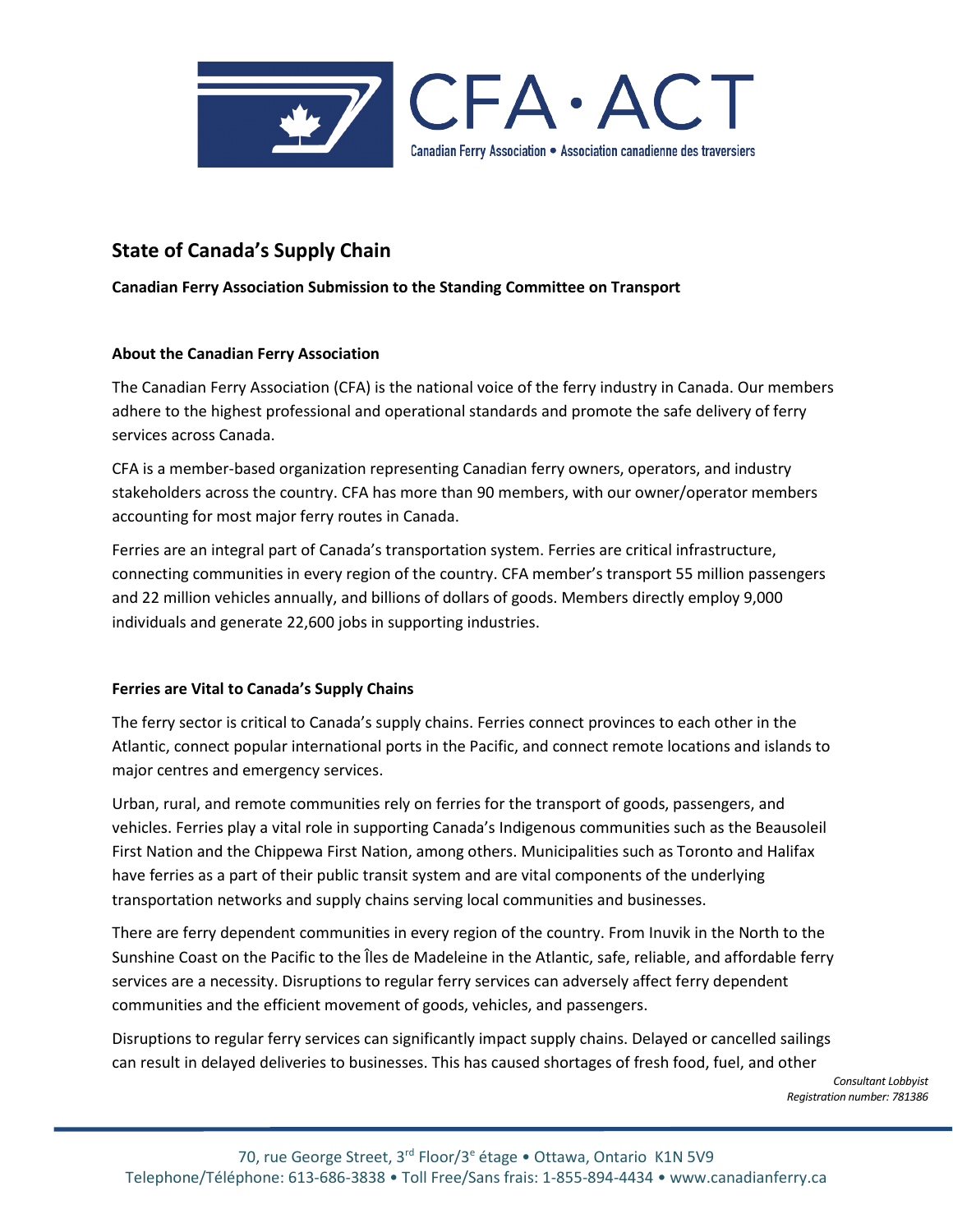

# **State of Canada's Supply Chain**

## **Canadian Ferry Association Submission to the Standing Committee on Transport**

## **About the Canadian Ferry Association**

The Canadian Ferry Association (CFA) is the national voice of the ferry industry in Canada. Our members adhere to the highest professional and operational standards and promote the safe delivery of ferry services across Canada.  

CFA is a member-based organization representing Canadian ferry owners, operators, and industry stakeholders across the country. CFA has more than 90 members, with our owner/operator members accounting for most major ferry routes in Canada.  

Ferries are an integral part of Canada's transportation system. Ferries are critical infrastructure, connecting communities in every region of the country. CFA member's transport 55 million passengers and 22 million vehicles annually, and billions of dollars of goods. Members directly employ 9,000 individuals and generate 22,600 jobs in supporting industries.  

## **Ferries are Vital to Canada's Supply Chains**

The ferry sector is critical to Canada's supply chains. Ferries connect provinces to each other in the Atlantic, connect popular international ports in the Pacific, and connect remote locations and islands to major centres and emergency services.

Urban, rural, and remote communities rely on ferries for the transport of goods, passengers, and vehicles. Ferries play a vital role in supporting Canada's Indigenous communities such as the Beausoleil First Nation and the Chippewa First Nation, among others. Municipalities such as Toronto and Halifax have ferries as a part of their public transit system and are vital components of the underlying transportation networks and supply chains serving local communities and businesses.

There are ferry dependent communities in every region of the country. From Inuvik in the North to the Sunshine Coast on the Pacific to the Îles de Madeleine in the Atlantic, safe, reliable, and affordable ferry services are a necessity. Disruptions to regular ferry services can adversely affect ferry dependent communities and the efficient movement of goods, vehicles, and passengers.

Disruptions to regular ferry services can significantly impact supply chains. Delayed or cancelled sailings can result in delayed deliveries to businesses. This has caused shortages of fresh food, fuel, and other

> *Consultant Lobbyist Registration number: 781386*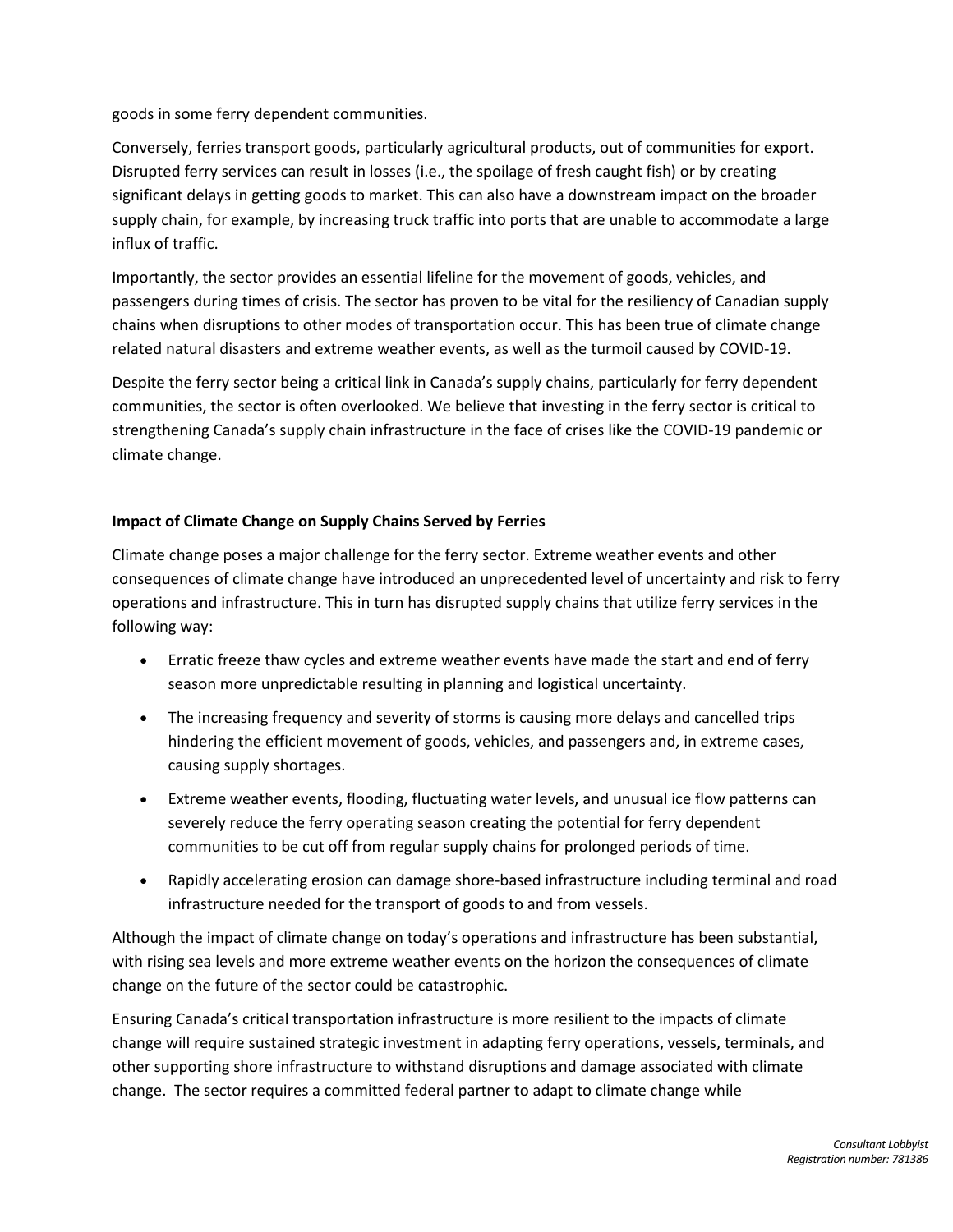goods in some ferry dependent communities.

Conversely, ferries transport goods, particularly agricultural products, out of communities for export. Disrupted ferry services can result in losses (i.e., the spoilage of fresh caught fish) or by creating significant delays in getting goods to market. This can also have a downstream impact on the broader supply chain, for example, by increasing truck traffic into ports that are unable to accommodate a large influx of traffic.

Importantly, the sector provides an essential lifeline for the movement of goods, vehicles, and passengers during times of crisis. The sector has proven to be vital for the resiliency of Canadian supply chains when disruptions to other modes of transportation occur. This has been true of climate change related natural disasters and extreme weather events, as well as the turmoil caused by COVID-19.

Despite the ferry sector being a critical link in Canada's supply chains, particularly for ferry dependent communities, the sector is often overlooked. We believe that investing in the ferry sector is critical to strengthening Canada's supply chain infrastructure in the face of crises like the COVID-19 pandemic or climate change.

## **Impact of Climate Change on Supply Chains Served by Ferries**

Climate change poses a major challenge for the ferry sector. Extreme weather events and other consequences of climate change have introduced an unprecedented level of uncertainty and risk to ferry operations and infrastructure. This in turn has disrupted supply chains that utilize ferry services in the following way:

- Erratic freeze thaw cycles and extreme weather events have made the start and end of ferry season more unpredictable resulting in planning and logistical uncertainty.
- The increasing frequency and severity of storms is causing more delays and cancelled trips hindering the efficient movement of goods, vehicles, and passengers and, in extreme cases, causing supply shortages.
- Extreme weather events, flooding, fluctuating water levels, and unusual ice flow patterns can severely reduce the ferry operating season creating the potential for ferry dependent communities to be cut off from regular supply chains for prolonged periods of time.
- Rapidly accelerating erosion can damage shore-based infrastructure including terminal and road infrastructure needed for the transport of goods to and from vessels.

Although the impact of climate change on today's operations and infrastructure has been substantial, with rising sea levels and more extreme weather events on the horizon the consequences of climate change on the future of the sector could be catastrophic.

Ensuring Canada's critical transportation infrastructure is more resilient to the impacts of climate change will require sustained strategic investment in adapting ferry operations, vessels, terminals, and other supporting shore infrastructure to withstand disruptions and damage associated with climate change. The sector requires a committed federal partner to adapt to climate change while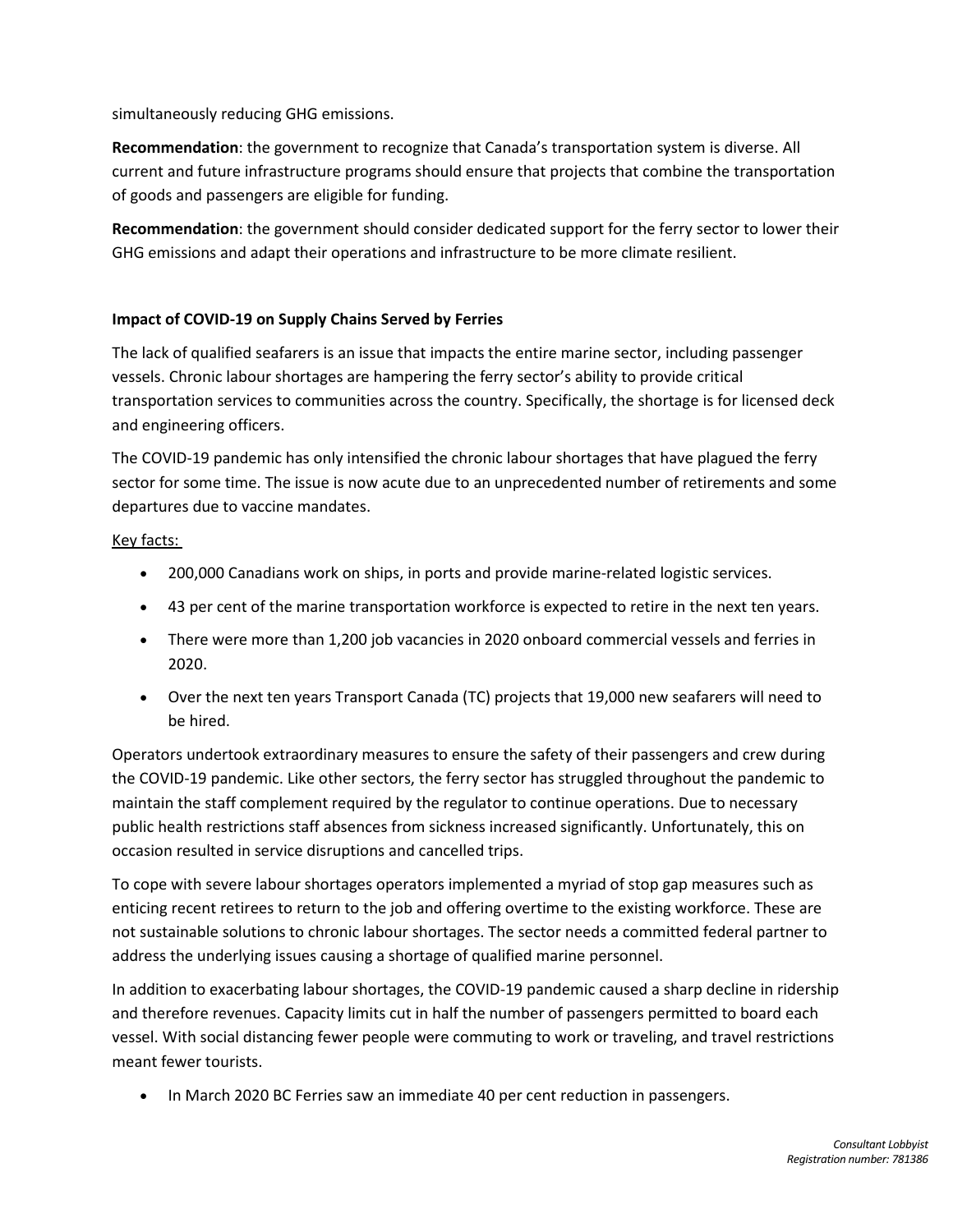simultaneously reducing GHG emissions.

**Recommendation**: the government to recognize that Canada's transportation system is diverse. All current and future infrastructure programs should ensure that projects that combine the transportation of goods and passengers are eligible for funding.

**Recommendation**: the government should consider dedicated support for the ferry sector to lower their GHG emissions and adapt their operations and infrastructure to be more climate resilient.

#### **Impact of COVID-19 on Supply Chains Served by Ferries**

The lack of qualified seafarers is an issue that impacts the entire marine sector, including passenger vessels. Chronic labour shortages are hampering the ferry sector's ability to provide critical transportation services to communities across the country. Specifically, the shortage is for licensed deck and engineering officers.

The COVID-19 pandemic has only intensified the chronic labour shortages that have plagued the ferry sector for some time. The issue is now acute due to an unprecedented number of retirements and some departures due to vaccine mandates.

#### Key facts:

- 200,000 Canadians work on ships, in ports and provide marine-related logistic services.
- 43 per cent of the marine transportation workforce is expected to retire in the next ten years.
- There were more than 1,200 job vacancies in 2020 onboard commercial vessels and ferries in 2020.
- Over the next ten years Transport Canada (TC) projects that 19,000 new seafarers will need to be hired.

Operators undertook extraordinary measures to ensure the safety of their passengers and crew during the COVID-19 pandemic. Like other sectors, the ferry sector has struggled throughout the pandemic to maintain the staff complement required by the regulator to continue operations. Due to necessary public health restrictions staff absences from sickness increased significantly. Unfortunately, this on occasion resulted in service disruptions and cancelled trips.

To cope with severe labour shortages operators implemented a myriad of stop gap measures such as enticing recent retirees to return to the job and offering overtime to the existing workforce. These are not sustainable solutions to chronic labour shortages. The sector needs a committed federal partner to address the underlying issues causing a shortage of qualified marine personnel.

In addition to exacerbating labour shortages, the COVID-19 pandemic caused a sharp decline in ridership and therefore revenues. Capacity limits cut in half the number of passengers permitted to board each vessel. With social distancing fewer people were commuting to work or traveling, and travel restrictions meant fewer tourists.

• In March 2020 BC Ferries saw an immediate 40 per cent reduction in passengers.